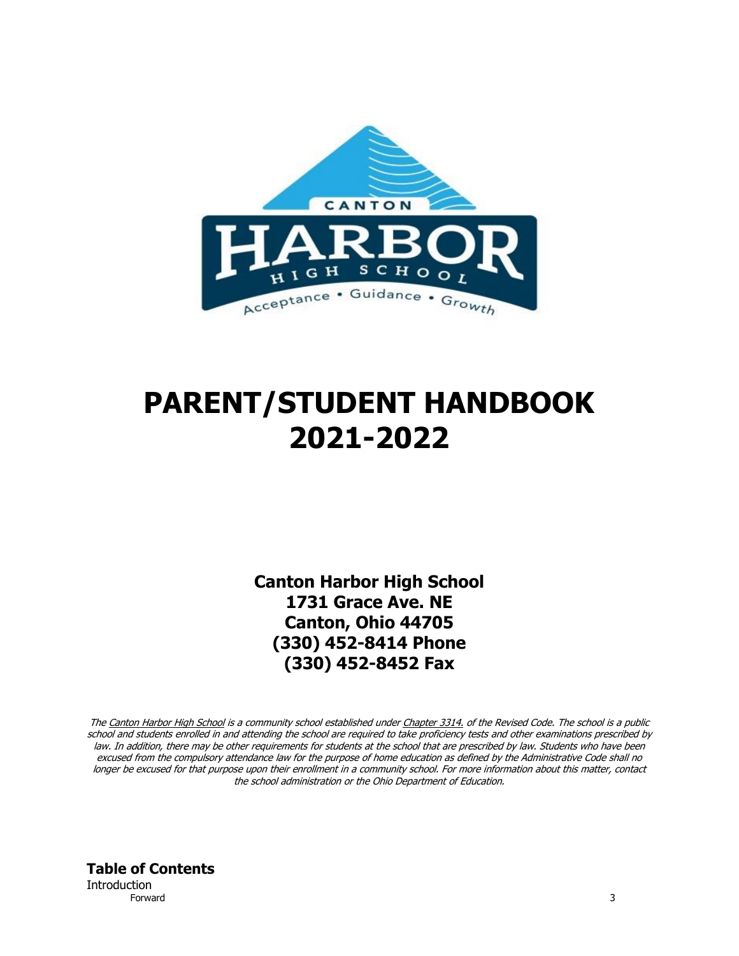

# **PARENT/STUDENT HANDBOOK 2021-2022**

**Canton Harbor High School 1731 Grace Ave. NE Canton, Ohio 44705 (330) 452-8414 Phone (330) 452-8452 Fax**

The Canton Harbor High School is a community school established under Chapter 3314, of the Revised Code. The school is a public school and students enrolled in and attending the school are required to take proficiency tests and other examinations prescribed by law. In addition, there may be other requirements for students at the school that are prescribed by law. Students who have been excused from the compulsory attendance law for the purpose of home education as defined by the Administrative Code shall no longer be excused for that purpose upon their enrollment in a community school. For more information about this matter, contact the school administration or the Ohio Department of Education.

**Table of Contents Introduction** Forward 3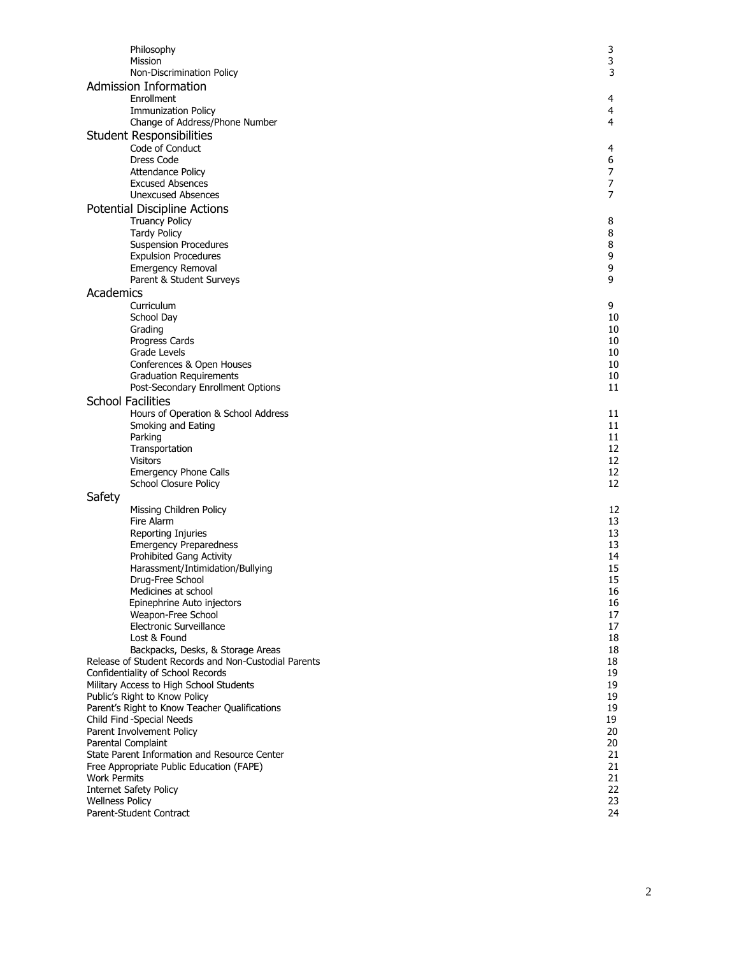| Philosophy                                                                                | 3              |
|-------------------------------------------------------------------------------------------|----------------|
| Mission                                                                                   | 3              |
| Non-Discrimination Policy                                                                 | 3              |
| <b>Admission Information</b>                                                              |                |
| Enrollment                                                                                | 4              |
| <b>Immunization Policy</b>                                                                | 4              |
| Change of Address/Phone Number                                                            | 4              |
| <b>Student Responsibilities</b>                                                           |                |
| Code of Conduct                                                                           | 4              |
| Dress Code                                                                                | 6              |
| <b>Attendance Policy</b>                                                                  | 7              |
| <b>Excused Absences</b>                                                                   | 7              |
| <b>Unexcused Absences</b>                                                                 | $\overline{7}$ |
| <b>Potential Discipline Actions</b>                                                       |                |
| <b>Truancy Policy</b>                                                                     | 8              |
| <b>Tardy Policy</b>                                                                       | 8              |
| <b>Suspension Procedures</b>                                                              | 8              |
| <b>Expulsion Procedures</b>                                                               | 9<br>9         |
| <b>Emergency Removal</b>                                                                  | 9              |
| Parent & Student Surveys                                                                  |                |
| Academics                                                                                 |                |
| Curriculum                                                                                | 9              |
| School Day                                                                                | 10<br>10       |
| Grading<br>Progress Cards                                                                 | 10             |
| Grade Levels                                                                              | 10             |
| Conferences & Open Houses                                                                 | 10             |
| <b>Graduation Requirements</b>                                                            | 10             |
| Post-Secondary Enrollment Options                                                         | 11             |
| <b>School Facilities</b>                                                                  |                |
| Hours of Operation & School Address                                                       | 11             |
| Smoking and Eating                                                                        | 11             |
| Parking                                                                                   | 11             |
| Transportation                                                                            | 12             |
| <b>Visitors</b>                                                                           | 12             |
| Emergency Phone Calls                                                                     | 12             |
| School Closure Policy                                                                     | 12             |
| Safety                                                                                    |                |
| Missing Children Policy                                                                   | 12             |
| Fire Alarm                                                                                | 13             |
| Reporting Injuries                                                                        | 13             |
| <b>Emergency Preparedness</b>                                                             | 13             |
| Prohibited Gang Activity                                                                  | 14             |
| Harassment/Intimidation/Bullying                                                          | 15             |
| Drug-Free School                                                                          | 15             |
| Medicines at school                                                                       | 16             |
| Epinephrine Auto injectors                                                                | 16             |
| Weapon-Free School                                                                        | 17             |
| Electronic Surveillance<br>Lost & Found                                                   | 17<br>18       |
|                                                                                           | 18             |
| Backpacks, Desks, & Storage Areas<br>Release of Student Records and Non-Custodial Parents | 18             |
| Confidentiality of School Records                                                         | 19             |
| Military Access to High School Students                                                   | 19             |
| Public's Right to Know Policy                                                             | 19             |
| Parent's Right to Know Teacher Qualifications                                             | 19             |
| Child Find-Special Needs                                                                  | 19             |
| Parent Involvement Policy                                                                 | 20             |
| Parental Complaint                                                                        | 20             |
| State Parent Information and Resource Center                                              | 21             |
| Free Appropriate Public Education (FAPE)                                                  | 21             |
| <b>Work Permits</b>                                                                       | 21             |
| <b>Internet Safety Policy</b>                                                             | 22             |
| <b>Wellness Policy</b>                                                                    | 23             |
| Parent-Student Contract                                                                   | 24             |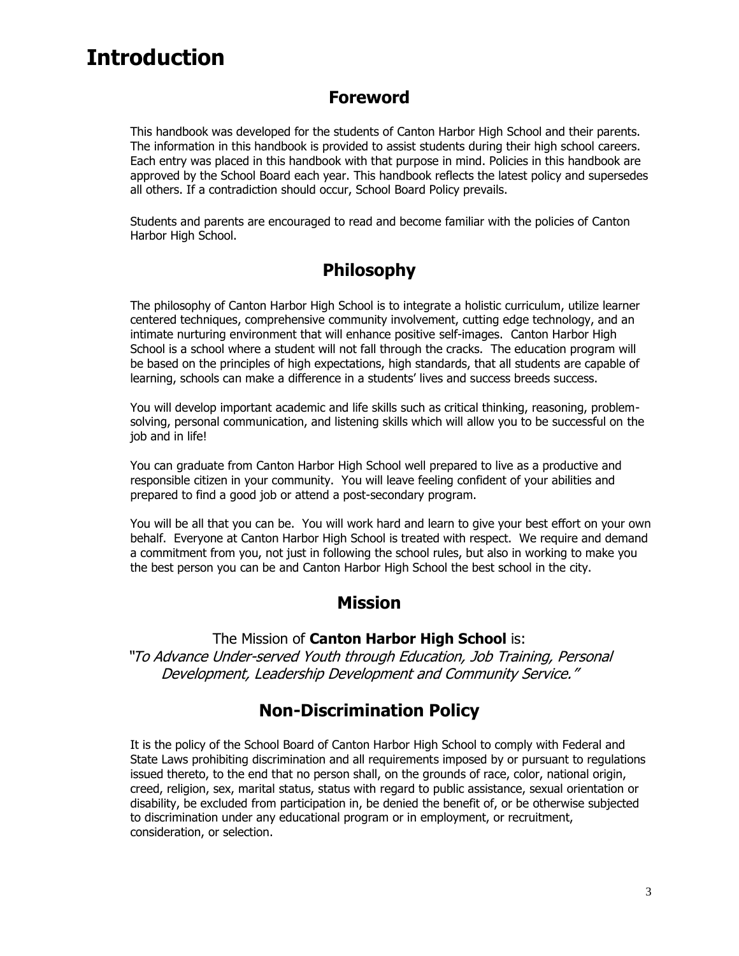## **Introduction**

#### **Foreword**

This handbook was developed for the students of Canton Harbor High School and their parents. The information in this handbook is provided to assist students during their high school careers. Each entry was placed in this handbook with that purpose in mind. Policies in this handbook are approved by the School Board each year. This handbook reflects the latest policy and supersedes all others. If a contradiction should occur, School Board Policy prevails.

Students and parents are encouraged to read and become familiar with the policies of Canton Harbor High School.

#### **Philosophy**

The philosophy of Canton Harbor High School is to integrate a holistic curriculum, utilize learner centered techniques, comprehensive community involvement, cutting edge technology, and an intimate nurturing environment that will enhance positive self-images. Canton Harbor High School is a school where a student will not fall through the cracks. The education program will be based on the principles of high expectations, high standards, that all students are capable of learning, schools can make a difference in a students' lives and success breeds success.

You will develop important academic and life skills such as critical thinking, reasoning, problemsolving, personal communication, and listening skills which will allow you to be successful on the job and in life!

You can graduate from Canton Harbor High School well prepared to live as a productive and responsible citizen in your community. You will leave feeling confident of your abilities and prepared to find a good job or attend a post-secondary program.

You will be all that you can be. You will work hard and learn to give your best effort on your own behalf. Everyone at Canton Harbor High School is treated with respect. We require and demand a commitment from you, not just in following the school rules, but also in working to make you the best person you can be and Canton Harbor High School the best school in the city.

#### **Mission**

The Mission of **Canton Harbor High School** is: "To Advance Under-served Youth through Education, Job Training, Personal Development, Leadership Development and Community Service."

### **Non-Discrimination Policy**

It is the policy of the School Board of Canton Harbor High School to comply with Federal and State Laws prohibiting discrimination and all requirements imposed by or pursuant to regulations issued thereto, to the end that no person shall, on the grounds of race, color, national origin, creed, religion, sex, marital status, status with regard to public assistance, sexual orientation or disability, be excluded from participation in, be denied the benefit of, or be otherwise subjected to discrimination under any educational program or in employment, or recruitment, consideration, or selection.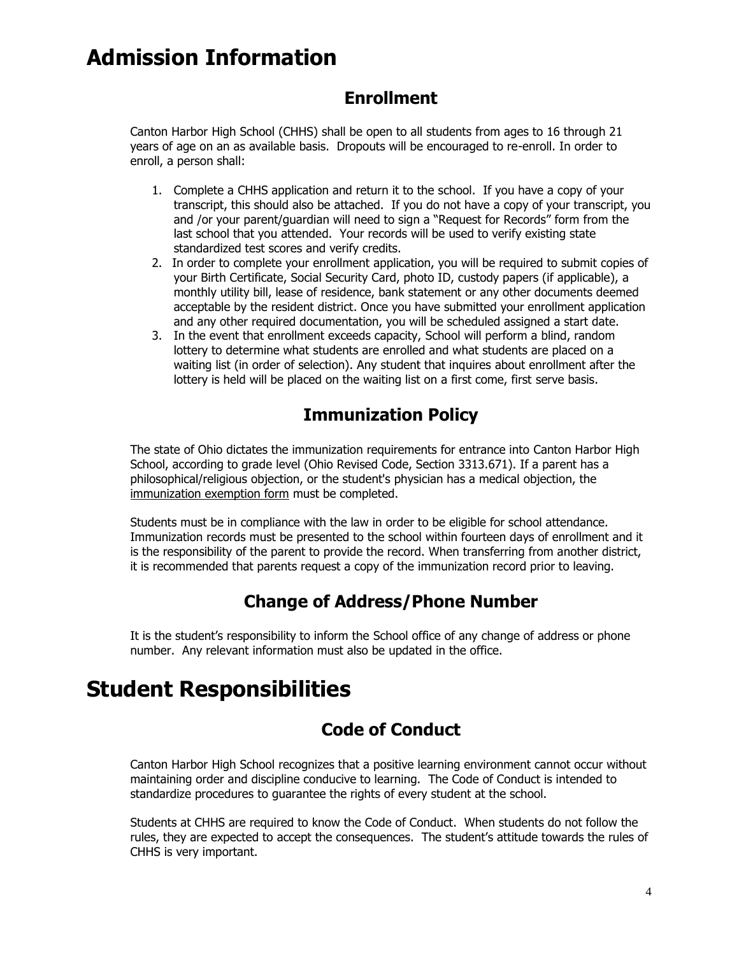## **Admission Information**

#### **Enrollment**

Canton Harbor High School (CHHS) shall be open to all students from ages to 16 through 21 years of age on an as available basis. Dropouts will be encouraged to re-enroll. In order to enroll, a person shall:

- 1. Complete a CHHS application and return it to the school. If you have a copy of your transcript, this should also be attached. If you do not have a copy of your transcript, you and /or your parent/guardian will need to sign a "Request for Records" form from the last school that you attended. Your records will be used to verify existing state standardized test scores and verify credits.
- 2. In order to complete your enrollment application, you will be required to submit copies of your Birth Certificate, Social Security Card, photo ID, custody papers (if applicable), a monthly utility bill, lease of residence, bank statement or any other documents deemed acceptable by the resident district. Once you have submitted your enrollment application and any other required documentation, you will be scheduled assigned a start date.
- 3. In the event that enrollment exceeds capacity, School will perform a blind, random lottery to determine what students are enrolled and what students are placed on a waiting list (in order of selection). Any student that inquires about enrollment after the lottery is held will be placed on the waiting list on a first come, first serve basis.

### **Immunization Policy**

The state of Ohio dictates the immunization requirements for entrance into Canton Harbor High School, according to grade level (Ohio Revised Code, Section 3313.671). If a parent has a philosophical/religious objection, or the student's physician has a medical objection, the [immunization exemption form](http://www.olentangy.k12.oh.us/district/pupilservices/nurses/forms/immunizationExemption.pdf) must be completed.

Students must be in compliance with the law in order to be eligible for school attendance. Immunization records must be presented to the school within fourteen days of enrollment and it is the responsibility of the parent to provide the record. When transferring from another district, it is recommended that parents request a copy of the immunization record prior to leaving.

### **Change of Address/Phone Number**

It is the student's responsibility to inform the School office of any change of address or phone number. Any relevant information must also be updated in the office.

## **Student Responsibilities**

#### **Code of Conduct**

Canton Harbor High School recognizes that a positive learning environment cannot occur without maintaining order and discipline conducive to learning. The Code of Conduct is intended to standardize procedures to guarantee the rights of every student at the school.

Students at CHHS are required to know the Code of Conduct. When students do not follow the rules, they are expected to accept the consequences. The student's attitude towards the rules of CHHS is very important.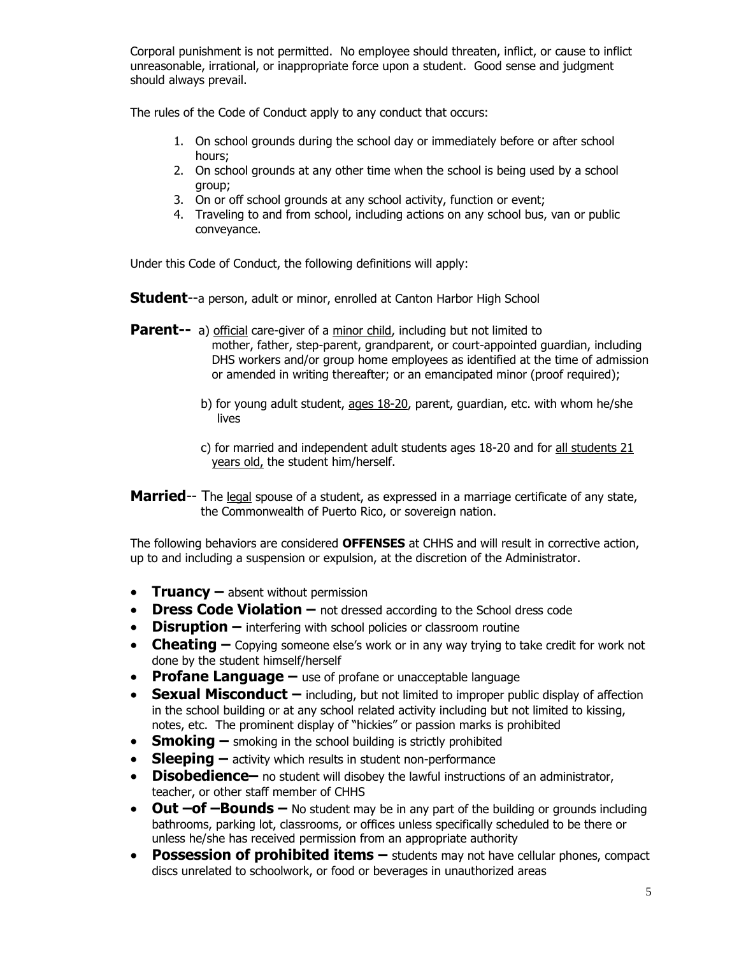Corporal punishment is not permitted. No employee should threaten, inflict, or cause to inflict unreasonable, irrational, or inappropriate force upon a student. Good sense and judgment should always prevail.

The rules of the Code of Conduct apply to any conduct that occurs:

- 1. On school grounds during the school day or immediately before or after school hours;
- 2. On school grounds at any other time when the school is being used by a school group;
- 3. On or off school grounds at any school activity, function or event;
- 4. Traveling to and from school, including actions on any school bus, van or public conveyance.

Under this Code of Conduct, the following definitions will apply:

**Student**--a person, adult or minor, enrolled at Canton Harbor High School

- **Parent--** a) official care-giver of a minor child, including but not limited to mother, father, step-parent, grandparent, or court-appointed guardian, including DHS workers and/or group home employees as identified at the time of admission or amended in writing thereafter; or an emancipated minor (proof required);
	- b) for young adult student, ages 18-20, parent, guardian, etc. with whom he/she lives
	- c) for married and independent adult students ages 18-20 and for all students 21 years old, the student him/herself.
- **Married**-- The legal spouse of a student, as expressed in a marriage certificate of any state, the Commonwealth of Puerto Rico, or sovereign nation.

The following behaviors are considered **OFFENSES** at CHHS and will result in corrective action, up to and including a suspension or expulsion, at the discretion of the Administrator.

- **Truancy** absent without permission
- **Dress Code Violation –** not dressed according to the School dress code
- **• Disruption** interfering with school policies or classroom routine
- **• Cheating** Copying someone else's work or in any way trying to take credit for work not done by the student himself/herself
- **Profane Language –** use of profane or unacceptable language
- **Sexual Misconduct** including, but not limited to improper public display of affection in the school building or at any school related activity including but not limited to kissing, notes, etc. The prominent display of "hickies" or passion marks is prohibited
- **Smoking –** smoking in the school building is strictly prohibited
- **Sleeping –** activity which results in student non-performance
- **•** Disobedience no student will disobey the lawful instructions of an administrator, teacher, or other staff member of CHHS
- **Out –of –Bounds –** No student may be in any part of the building or grounds including bathrooms, parking lot, classrooms, or offices unless specifically scheduled to be there or unless he/she has received permission from an appropriate authority
- **Possession of prohibited items –** students may not have cellular phones, compact discs unrelated to schoolwork, or food or beverages in unauthorized areas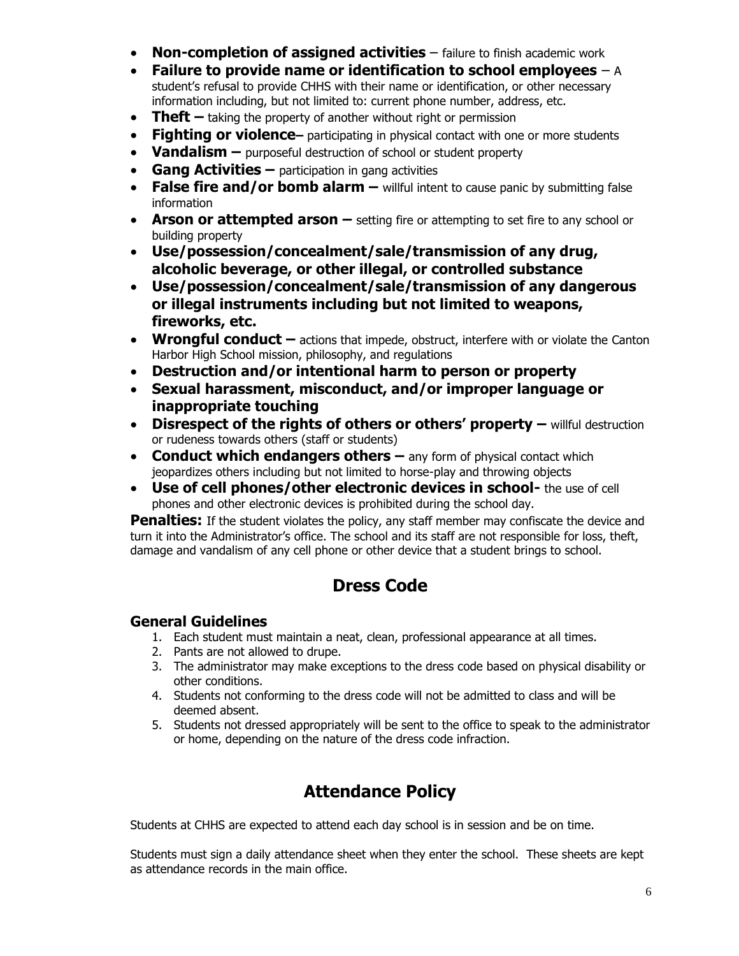- **Non-completion of assigned activities** failure to finish academic work
- **Failure to provide name or identification to school employees** A student's refusal to provide CHHS with their name or identification, or other necessary information including, but not limited to: current phone number, address, etc.
- **Theft** taking the property of another without right or permission
- **Fighting or violence** participating in physical contact with one or more students
- **Vandalism –** purposeful destruction of school or student property
- **Gang Activities –** participation in gang activities
- **False fire and/or bomb alarm** willful intent to cause panic by submitting false information
- **Arson or attempted arson** setting fire or attempting to set fire to any school or building property
- **Use/possession/concealment/sale/transmission of any drug, alcoholic beverage, or other illegal, or controlled substance**
- **Use/possession/concealment/sale/transmission of any dangerous or illegal instruments including but not limited to weapons, fireworks, etc.**
- **Wrongful conduct** actions that impede, obstruct, interfere with or violate the Canton Harbor High School mission, philosophy, and regulations
- **Destruction and/or intentional harm to person or property**
- **Sexual harassment, misconduct, and/or improper language or inappropriate touching**
- **•** Disrespect of the rights of others or others' property willful destruction or rudeness towards others (staff or students)
- **Conduct which endangers others** any form of physical contact which jeopardizes others including but not limited to horse-play and throwing objects
- **Use of cell phones/other electronic devices in school-** the use of cell phones and other electronic devices is prohibited during the school day.

**Penalties:** If the student violates the policy, any staff member may confiscate the device and turn it into the Administrator's office. The school and its staff are not responsible for loss, theft, damage and vandalism of any cell phone or other device that a student brings to school.

#### **Dress Code**

#### **General Guidelines**

- 1. Each student must maintain a neat, clean, professional appearance at all times.
- 2. Pants are not allowed to drupe.
- 3. The administrator may make exceptions to the dress code based on physical disability or other conditions.
- 4. Students not conforming to the dress code will not be admitted to class and will be deemed absent.
- 5. Students not dressed appropriately will be sent to the office to speak to the administrator or home, depending on the nature of the dress code infraction.

### **Attendance Policy**

Students at CHHS are expected to attend each day school is in session and be on time.

Students must sign a daily attendance sheet when they enter the school. These sheets are kept as attendance records in the main office.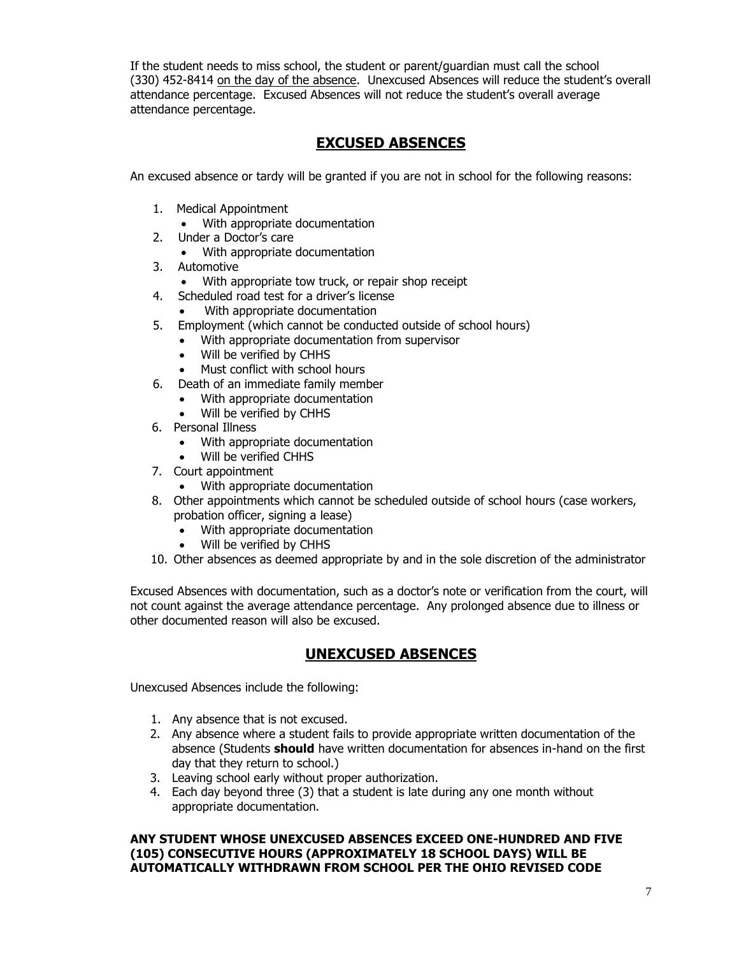If the student needs to miss school, the student or parent/guardian must call the school (330) 452-8414 on the day of the absence. Unexcused Absences will reduce the student's overall attendance percentage. Excused Absences will not reduce the student's overall average attendance percentage.

#### **EXCUSED ABSENCES**

An excused absence or tardy will be granted if you are not in school for the following reasons:

- 1. Medical Appointment
	- With appropriate documentation
- 2. Under a Doctor's care
	- With appropriate documentation
- 3. Automotive
	- With appropriate tow truck, or repair shop receipt
- 4. Scheduled road test for a driver's license
	- With appropriate documentation
- 5. Employment (which cannot be conducted outside of school hours)
	- With appropriate documentation from supervisor
	- Will be verified by CHHS
	- Must conflict with school hours
- 6. Death of an immediate family member
	- With appropriate documentation
	- Will be verified by CHHS
- 6. Personal Illness
	- With appropriate documentation
	- Will be verified CHHS
- 7. Court appointment
	- With appropriate documentation
- 8. Other appointments which cannot be scheduled outside of school hours (case workers, probation officer, signing a lease)
	- With appropriate documentation
	- Will be verified by CHHS
- 10. Other absences as deemed appropriate by and in the sole discretion of the administrator

Excused Absences with documentation, such as a doctor's note or verification from the court, will not count against the average attendance percentage. Any prolonged absence due to illness or other documented reason will also be excused.

#### **UNEXCUSED ABSENCES**

Unexcused Absences include the following:

- 1. Any absence that is not excused.
- 2. Any absence where a student fails to provide appropriate written documentation of the absence (Students **should** have written documentation for absences in-hand on the first day that they return to school.)
- 3. Leaving school early without proper authorization.
- 4. Each day beyond three (3) that a student is late during any one month without appropriate documentation.

#### **ANY STUDENT WHOSE UNEXCUSED ABSENCES EXCEED ONE-HUNDRED AND FIVE (105) CONSECUTIVE HOURS (APPROXIMATELY 18 SCHOOL DAYS) WILL BE AUTOMATICALLY WITHDRAWN FROM SCHOOL PER THE OHIO REVISED CODE**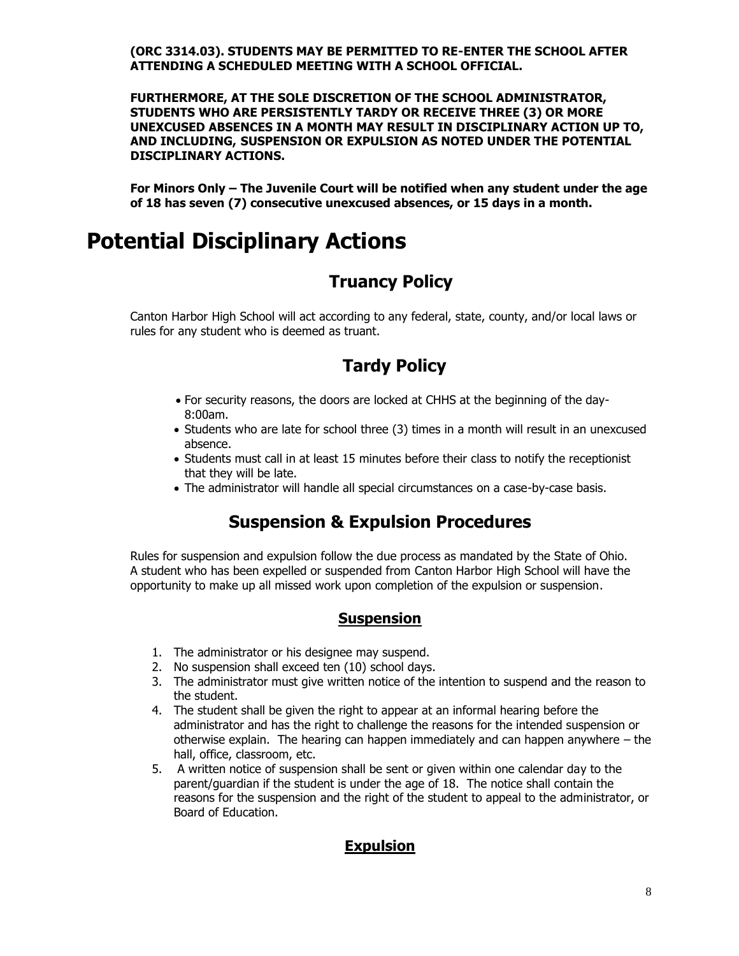**(ORC 3314.03). STUDENTS MAY BE PERMITTED TO RE-ENTER THE SCHOOL AFTER ATTENDING A SCHEDULED MEETING WITH A SCHOOL OFFICIAL.**

**FURTHERMORE, AT THE SOLE DISCRETION OF THE SCHOOL ADMINISTRATOR, STUDENTS WHO ARE PERSISTENTLY TARDY OR RECEIVE THREE (3) OR MORE UNEXCUSED ABSENCES IN A MONTH MAY RESULT IN DISCIPLINARY ACTION UP TO, AND INCLUDING, SUSPENSION OR EXPULSION AS NOTED UNDER THE POTENTIAL DISCIPLINARY ACTIONS.**

**For Minors Only – The Juvenile Court will be notified when any student under the age of 18 has seven (7) consecutive unexcused absences, or 15 days in a month.**

## **Potential Disciplinary Actions**

### **Truancy Policy**

Canton Harbor High School will act according to any federal, state, county, and/or local laws or rules for any student who is deemed as truant.

#### **Tardy Policy**

- For security reasons, the doors are locked at CHHS at the beginning of the day-8:00am.
- Students who are late for school three (3) times in a month will result in an unexcused absence.
- Students must call in at least 15 minutes before their class to notify the receptionist that they will be late.
- The administrator will handle all special circumstances on a case-by-case basis.

#### **Suspension & Expulsion Procedures**

Rules for suspension and expulsion follow the due process as mandated by the State of Ohio. A student who has been expelled or suspended from Canton Harbor High School will have the opportunity to make up all missed work upon completion of the expulsion or suspension.

#### **Suspension**

- 1. The administrator or his designee may suspend.
- 2. No suspension shall exceed ten (10) school days.
- 3. The administrator must give written notice of the intention to suspend and the reason to the student.
- 4. The student shall be given the right to appear at an informal hearing before the administrator and has the right to challenge the reasons for the intended suspension or otherwise explain. The hearing can happen immediately and can happen anywhere – the hall, office, classroom, etc.
- 5. A written notice of suspension shall be sent or given within one calendar day to the parent/guardian if the student is under the age of 18. The notice shall contain the reasons for the suspension and the right of the student to appeal to the administrator, or Board of Education.

#### **Expulsion**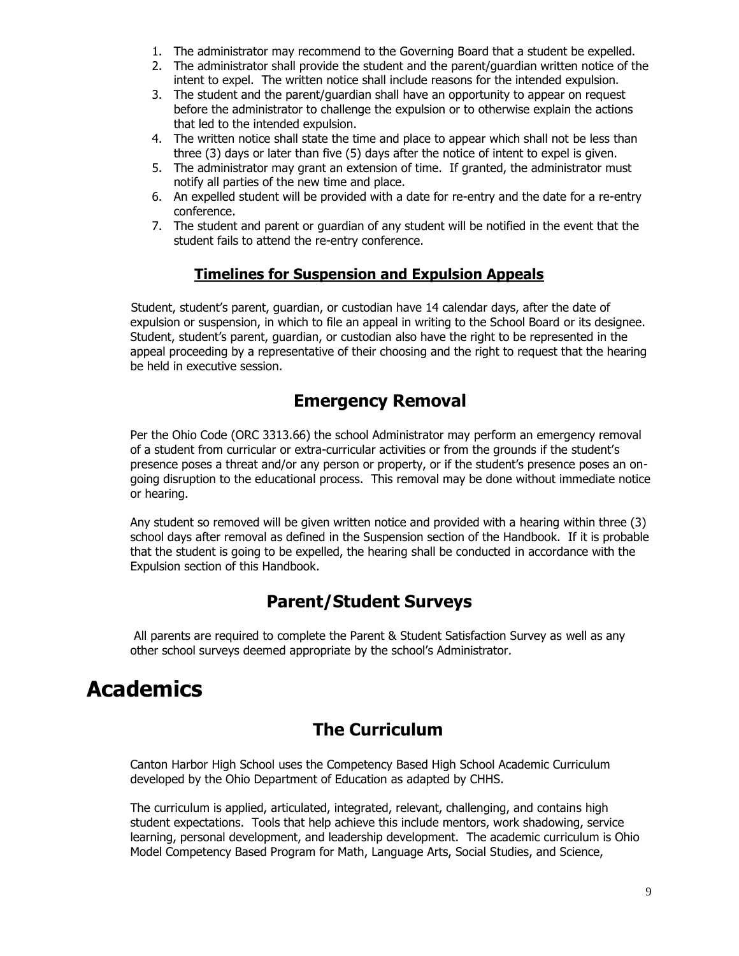- 1. The administrator may recommend to the Governing Board that a student be expelled.
- 2. The administrator shall provide the student and the parent/guardian written notice of the intent to expel. The written notice shall include reasons for the intended expulsion.
- 3. The student and the parent/guardian shall have an opportunity to appear on request before the administrator to challenge the expulsion or to otherwise explain the actions that led to the intended expulsion.
- 4. The written notice shall state the time and place to appear which shall not be less than three (3) days or later than five (5) days after the notice of intent to expel is given.
- 5. The administrator may grant an extension of time. If granted, the administrator must notify all parties of the new time and place.
- 6. An expelled student will be provided with a date for re-entry and the date for a re-entry conference.
- 7. The student and parent or guardian of any student will be notified in the event that the student fails to attend the re-entry conference.

#### **Timelines for Suspension and Expulsion Appeals**

 Student, student's parent, guardian, or custodian have 14 calendar days, after the date of expulsion or suspension, in which to file an appeal in writing to the School Board or its designee. Student, student's parent, guardian, or custodian also have the right to be represented in the appeal proceeding by a representative of their choosing and the right to request that the hearing be held in executive session.

#### **Emergency Removal**

Per the Ohio Code (ORC 3313.66) the school Administrator may perform an emergency removal of a student from curricular or extra-curricular activities or from the grounds if the student's presence poses a threat and/or any person or property, or if the student's presence poses an ongoing disruption to the educational process. This removal may be done without immediate notice or hearing.

Any student so removed will be given written notice and provided with a hearing within three (3) school days after removal as defined in the Suspension section of the Handbook. If it is probable that the student is going to be expelled, the hearing shall be conducted in accordance with the Expulsion section of this Handbook.

### **Parent/Student Surveys**

All parents are required to complete the Parent & Student Satisfaction Survey as well as any other school surveys deemed appropriate by the school's Administrator.

## **Academics**

#### **The Curriculum**

Canton Harbor High School uses the Competency Based High School Academic Curriculum developed by the Ohio Department of Education as adapted by CHHS.

The curriculum is applied, articulated, integrated, relevant, challenging, and contains high student expectations. Tools that help achieve this include mentors, work shadowing, service learning, personal development, and leadership development. The academic curriculum is Ohio Model Competency Based Program for Math, Language Arts, Social Studies, and Science,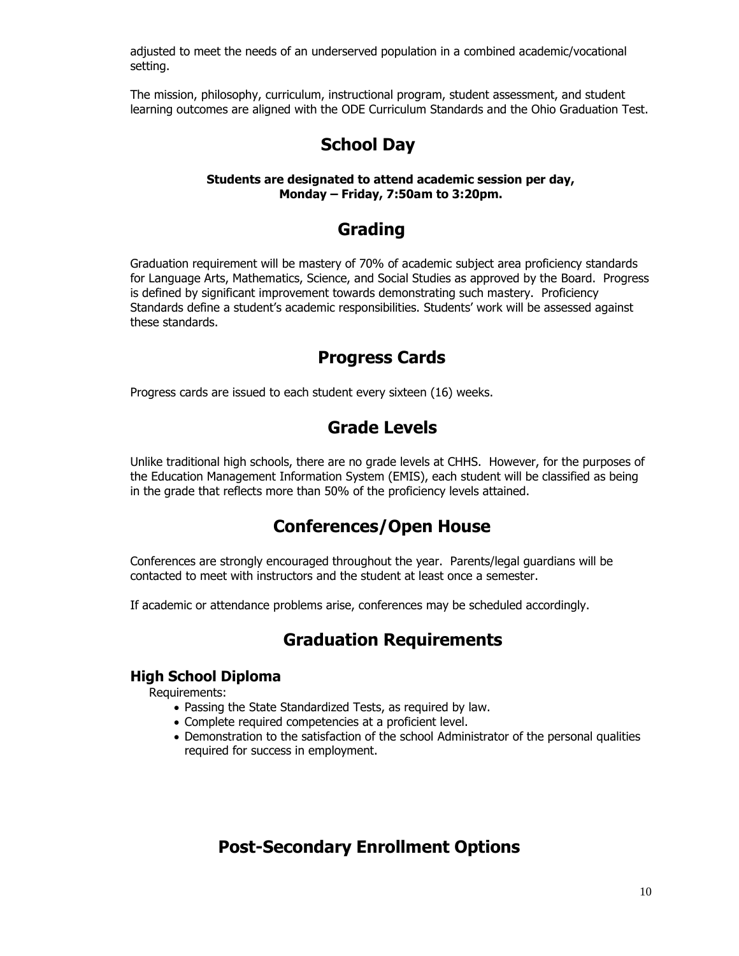adjusted to meet the needs of an underserved population in a combined academic/vocational setting.

The mission, philosophy, curriculum, instructional program, student assessment, and student learning outcomes are aligned with the ODE Curriculum Standards and the Ohio Graduation Test.

#### **School Day**

#### **Students are designated to attend academic session per day, Monday – Friday, 7:50am to 3:20pm.**

#### **Grading**

Graduation requirement will be mastery of 70% of academic subject area proficiency standards for Language Arts, Mathematics, Science, and Social Studies as approved by the Board. Progress is defined by significant improvement towards demonstrating such mastery. Proficiency Standards define a student's academic responsibilities. Students' work will be assessed against these standards.

#### **Progress Cards**

Progress cards are issued to each student every sixteen (16) weeks.

#### **Grade Levels**

Unlike traditional high schools, there are no grade levels at CHHS. However, for the purposes of the Education Management Information System (EMIS), each student will be classified as being in the grade that reflects more than 50% of the proficiency levels attained.

#### **Conferences/Open House**

Conferences are strongly encouraged throughout the year. Parents/legal guardians will be contacted to meet with instructors and the student at least once a semester.

If academic or attendance problems arise, conferences may be scheduled accordingly.

#### **Graduation Requirements**

#### **High School Diploma**

Requirements:

- Passing the State Standardized Tests, as required by law.
- Complete required competencies at a proficient level.
- Demonstration to the satisfaction of the school Administrator of the personal qualities required for success in employment.

#### **Post-Secondary Enrollment Options**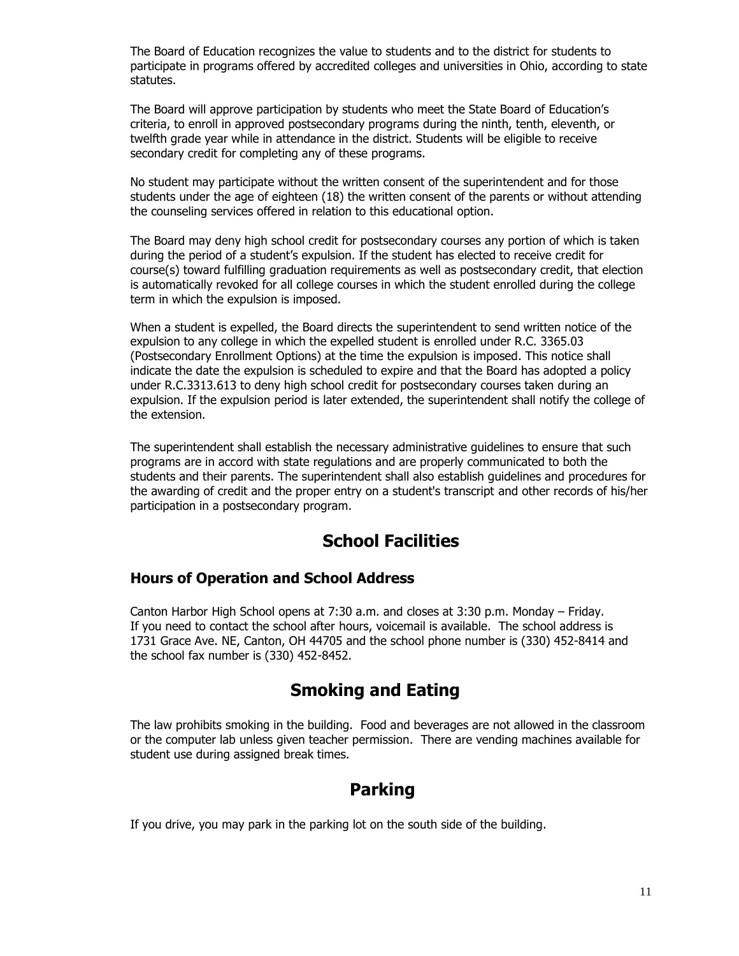The Board of Education recognizes the value to students and to the district for students to participate in programs offered by accredited colleges and universities in Ohio, according to state statutes.

The Board will approve participation by students who meet the State Board of Education's criteria, to enroll in approved postsecondary programs during the ninth, tenth, eleventh, or twelfth grade year while in attendance in the district. Students will be eligible to receive secondary credit for completing any of these programs.

No student may participate without the written consent of the superintendent and for those students under the age of eighteen (18) the written consent of the parents or without attending the counseling services offered in relation to this educational option.

The Board may deny high school credit for postsecondary courses any portion of which is taken during the period of a student's expulsion. If the student has elected to receive credit for course(s) toward fulfilling graduation requirements as well as postsecondary credit, that election is automatically revoked for all college courses in which the student enrolled during the college term in which the expulsion is imposed.

When a student is expelled, the Board directs the superintendent to send written notice of the expulsion to any college in which the expelled student is enrolled under R.C. 3365.03 (Postsecondary Enrollment Options) at the time the expulsion is imposed. This notice shall indicate the date the expulsion is scheduled to expire and that the Board has adopted a policy under R.C.3313.613 to deny high school credit for postsecondary courses taken during an expulsion. If the expulsion period is later extended, the superintendent shall notify the college of the extension.

The superintendent shall establish the necessary administrative guidelines to ensure that such programs are in accord with state regulations and are properly communicated to both the students and their parents. The superintendent shall also establish guidelines and procedures for the awarding of credit and the proper entry on a student's transcript and other records of his/her participation in a postsecondary program.

#### **School Facilities**

#### **Hours of Operation and School Address**

Canton Harbor High School opens at 7:30 a.m. and closes at 3:30 p.m. Monday – Friday. If you need to contact the school after hours, voicemail is available. The school address is 1731 Grace Ave. NE, Canton, OH 44705 and the school phone number is (330) 452-8414 and the school fax number is (330) 452-8452.

#### **Smoking and Eating**

The law prohibits smoking in the building. Food and beverages are not allowed in the classroom or the computer lab unless given teacher permission. There are vending machines available for student use during assigned break times.

#### **Parking**

If you drive, you may park in the parking lot on the south side of the building.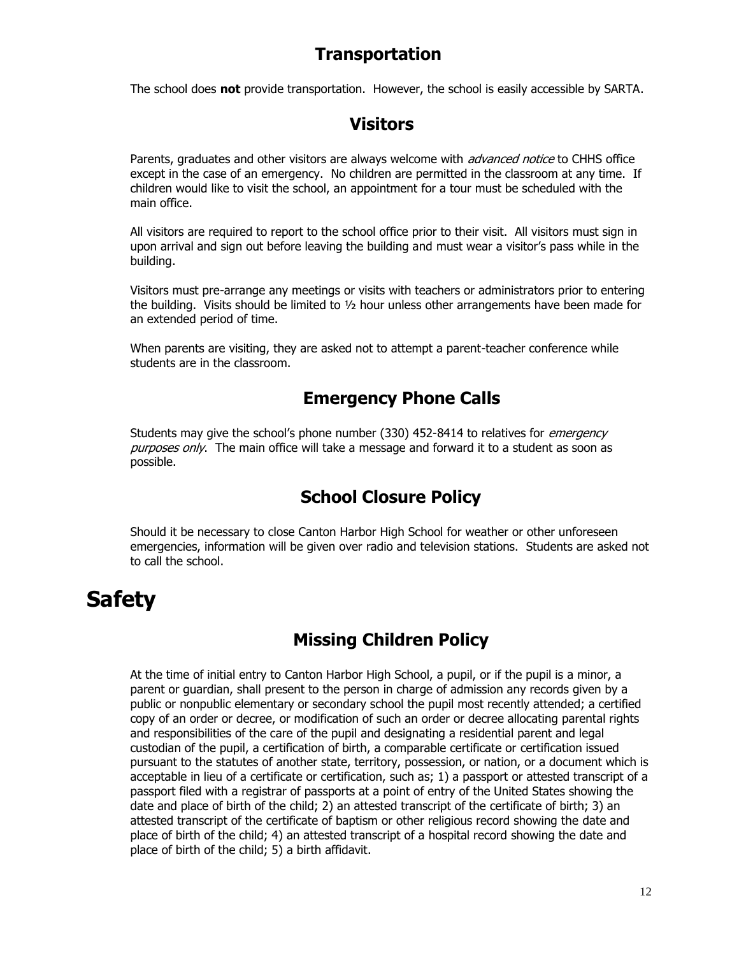#### **Transportation**

The school does **not** provide transportation. However, the school is easily accessible by SARTA.

#### **Visitors**

Parents, graduates and other visitors are always welcome with *advanced notice* to CHHS office except in the case of an emergency. No children are permitted in the classroom at any time. If children would like to visit the school, an appointment for a tour must be scheduled with the main office.

All visitors are required to report to the school office prior to their visit. All visitors must sign in upon arrival and sign out before leaving the building and must wear a visitor's pass while in the building.

Visitors must pre-arrange any meetings or visits with teachers or administrators prior to entering the building. Visits should be limited to ½ hour unless other arrangements have been made for an extended period of time.

When parents are visiting, they are asked not to attempt a parent-teacher conference while students are in the classroom.

### **Emergency Phone Calls**

Students may give the school's phone number (330) 452-8414 to relatives for *emergency* purposes only. The main office will take a message and forward it to a student as soon as possible.

#### **School Closure Policy**

Should it be necessary to close Canton Harbor High School for weather or other unforeseen emergencies, information will be given over radio and television stations. Students are asked not to call the school.

## **Safety**

### **Missing Children Policy**

At the time of initial entry to Canton Harbor High School, a pupil, or if the pupil is a minor, a parent or guardian, shall present to the person in charge of admission any records given by a public or nonpublic elementary or secondary school the pupil most recently attended; a certified copy of an order or decree, or modification of such an order or decree allocating parental rights and responsibilities of the care of the pupil and designating a residential parent and legal custodian of the pupil, a certification of birth, a comparable certificate or certification issued pursuant to the statutes of another state, territory, possession, or nation, or a document which is acceptable in lieu of a certificate or certification, such as; 1) a passport or attested transcript of a passport filed with a registrar of passports at a point of entry of the United States showing the date and place of birth of the child; 2) an attested transcript of the certificate of birth; 3) an attested transcript of the certificate of baptism or other religious record showing the date and place of birth of the child; 4) an attested transcript of a hospital record showing the date and place of birth of the child; 5) a birth affidavit.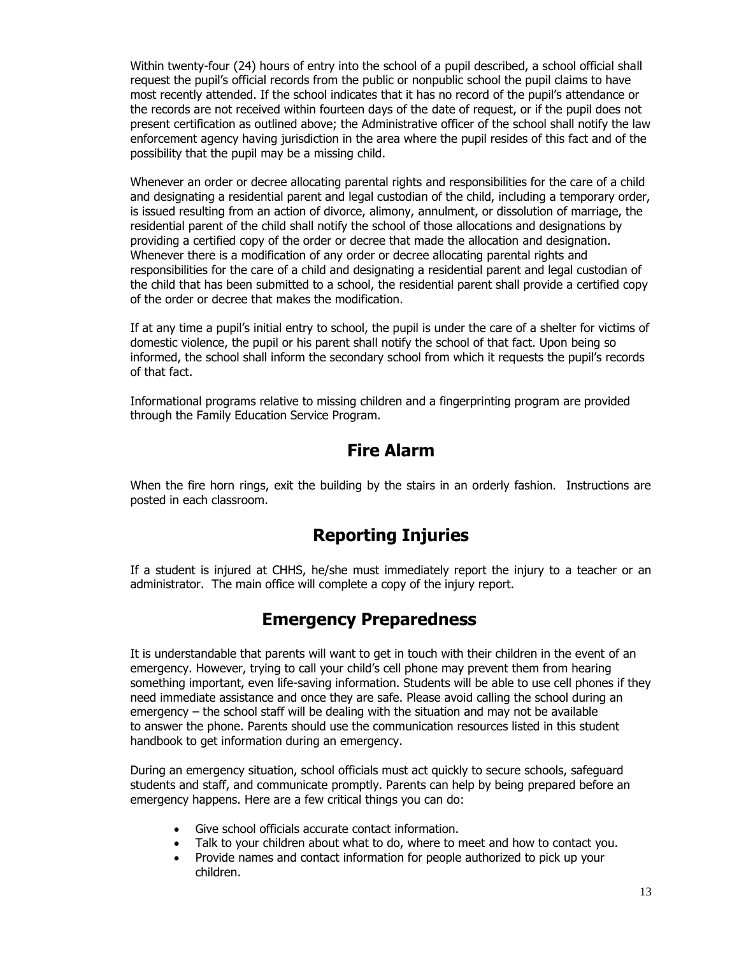Within twenty-four (24) hours of entry into the school of a pupil described, a school official shall request the pupil's official records from the public or nonpublic school the pupil claims to have most recently attended. If the school indicates that it has no record of the pupil's attendance or the records are not received within fourteen days of the date of request, or if the pupil does not present certification as outlined above; the Administrative officer of the school shall notify the law enforcement agency having jurisdiction in the area where the pupil resides of this fact and of the possibility that the pupil may be a missing child.

Whenever an order or decree allocating parental rights and responsibilities for the care of a child and designating a residential parent and legal custodian of the child, including a temporary order, is issued resulting from an action of divorce, alimony, annulment, or dissolution of marriage, the residential parent of the child shall notify the school of those allocations and designations by providing a certified copy of the order or decree that made the allocation and designation. Whenever there is a modification of any order or decree allocating parental rights and responsibilities for the care of a child and designating a residential parent and legal custodian of the child that has been submitted to a school, the residential parent shall provide a certified copy of the order or decree that makes the modification.

If at any time a pupil's initial entry to school, the pupil is under the care of a shelter for victims of domestic violence, the pupil or his parent shall notify the school of that fact. Upon being so informed, the school shall inform the secondary school from which it requests the pupil's records of that fact.

Informational programs relative to missing children and a fingerprinting program are provided through the Family Education Service Program.

#### **Fire Alarm**

When the fire horn rings, exit the building by the stairs in an orderly fashion. Instructions are posted in each classroom.

#### **Reporting Injuries**

If a student is injured at CHHS, he/she must immediately report the injury to a teacher or an administrator. The main office will complete a copy of the injury report.

#### **Emergency Preparedness**

It is understandable that parents will want to get in touch with their children in the event of an emergency. However, trying to call your child's cell phone may prevent them from hearing something important, even life-saving information. Students will be able to use cell phones if they need immediate assistance and once they are safe. Please avoid calling the school during an emergency – the school staff will be dealing with the situation and may not be available to answer the phone. Parents should use the communication resources listed in this student handbook to get information during an emergency.

During an emergency situation, school officials must act quickly to secure schools, safeguard students and staff, and communicate promptly. Parents can help by being prepared before an emergency happens. Here are a few critical things you can do:

- Give school officials accurate contact information.
- Talk to your children about what to do, where to meet and how to contact you.
- Provide names and contact information for people authorized to pick up your children.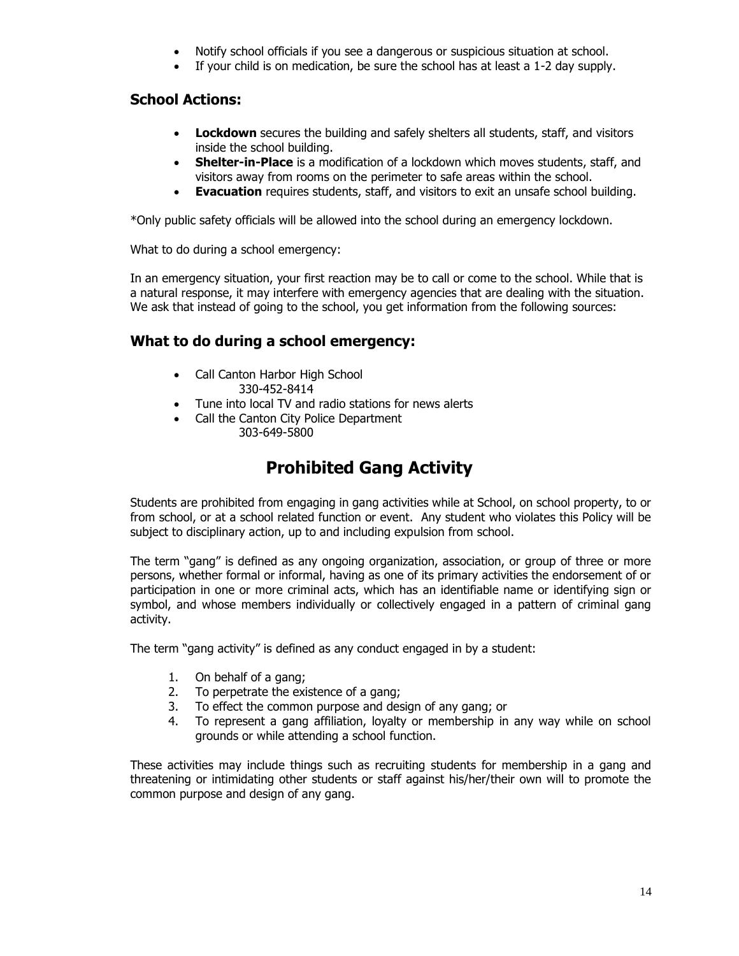- Notify school officials if you see a dangerous or suspicious situation at school.
- If your child is on medication, be sure the school has at least a 1-2 day supply.

#### **School Actions:**

- **Lockdown** secures the building and safely shelters all students, staff, and visitors inside the school building.
- **Shelter-in-Place** is a modification of a lockdown which moves students, staff, and visitors away from rooms on the perimeter to safe areas within the school.
- **Evacuation** requires students, staff, and visitors to exit an unsafe school building.

\*Only public safety officials will be allowed into the school during an emergency lockdown.

What to do during a school emergency:

In an emergency situation, your first reaction may be to call or come to the school. While that is a natural response, it may interfere with emergency agencies that are dealing with the situation. We ask that instead of going to the school, you get information from the following sources:

#### **What to do during a school emergency:**

- Call Canton Harbor High School 330-452-8414
- Tune into local TV and radio stations for news alerts
- Call the Canton City Police Department 303-649-5800

### **Prohibited Gang Activity**

Students are prohibited from engaging in gang activities while at School, on school property, to or from school, or at a school related function or event. Any student who violates this Policy will be subject to disciplinary action, up to and including expulsion from school.

The term "gang" is defined as any ongoing organization, association, or group of three or more persons, whether formal or informal, having as one of its primary activities the endorsement of or participation in one or more criminal acts, which has an identifiable name or identifying sign or symbol, and whose members individually or collectively engaged in a pattern of criminal gang activity.

The term "gang activity" is defined as any conduct engaged in by a student:

- 1. On behalf of a gang;
- 2. To perpetrate the existence of a gang;
- 3. To effect the common purpose and design of any gang; or
- 4. To represent a gang affiliation, loyalty or membership in any way while on school grounds or while attending a school function.

These activities may include things such as recruiting students for membership in a gang and threatening or intimidating other students or staff against his/her/their own will to promote the common purpose and design of any gang.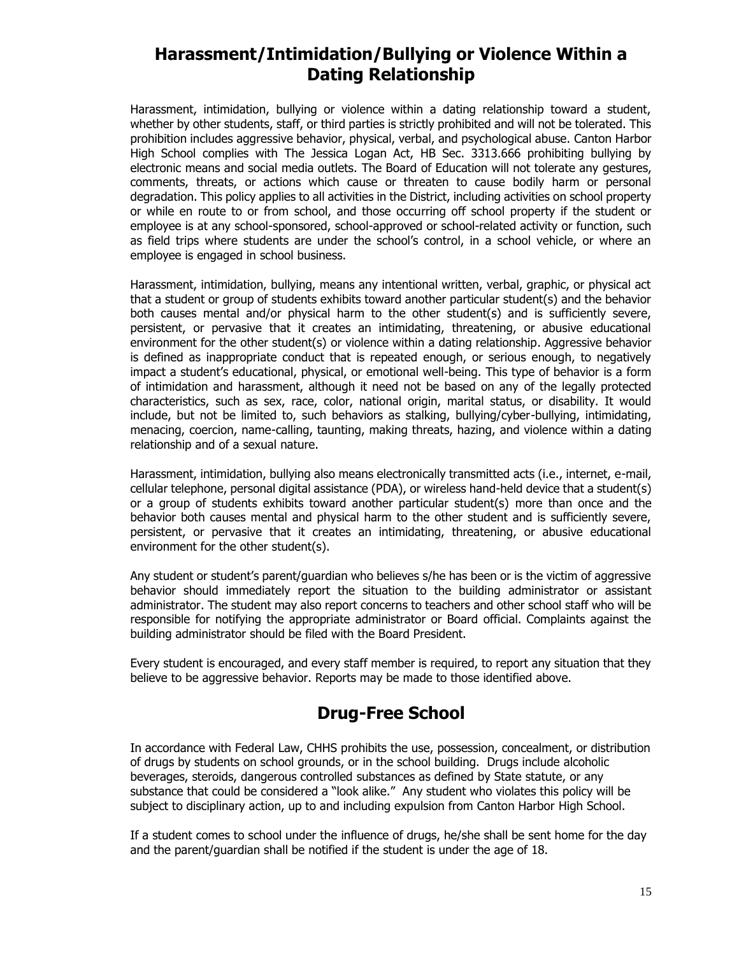#### **Harassment/Intimidation/Bullying or Violence Within a Dating Relationship**

Harassment, intimidation, bullying or violence within a dating relationship toward a student, whether by other students, staff, or third parties is strictly prohibited and will not be tolerated. This prohibition includes aggressive behavior, physical, verbal, and psychological abuse. Canton Harbor High School complies with The Jessica Logan Act, HB Sec. 3313.666 prohibiting bullying by electronic means and social media outlets. The Board of Education will not tolerate any gestures, comments, threats, or actions which cause or threaten to cause bodily harm or personal degradation. This policy applies to all activities in the District, including activities on school property or while en route to or from school, and those occurring off school property if the student or employee is at any school-sponsored, school-approved or school-related activity or function, such as field trips where students are under the school's control, in a school vehicle, or where an employee is engaged in school business.

Harassment, intimidation, bullying, means any intentional written, verbal, graphic, or physical act that a student or group of students exhibits toward another particular student(s) and the behavior both causes mental and/or physical harm to the other student(s) and is sufficiently severe, persistent, or pervasive that it creates an intimidating, threatening, or abusive educational environment for the other student(s) or violence within a dating relationship. Aggressive behavior is defined as inappropriate conduct that is repeated enough, or serious enough, to negatively impact a student's educational, physical, or emotional well-being. This type of behavior is a form of intimidation and harassment, although it need not be based on any of the legally protected characteristics, such as sex, race, color, national origin, marital status, or disability. It would include, but not be limited to, such behaviors as stalking, bullying/cyber-bullying, intimidating, menacing, coercion, name-calling, taunting, making threats, hazing, and violence within a dating relationship and of a sexual nature.

Harassment, intimidation, bullying also means electronically transmitted acts (i.e., internet, e-mail, cellular telephone, personal digital assistance (PDA), or wireless hand-held device that a student(s) or a group of students exhibits toward another particular student(s) more than once and the behavior both causes mental and physical harm to the other student and is sufficiently severe, persistent, or pervasive that it creates an intimidating, threatening, or abusive educational environment for the other student(s).

Any student or student's parent/guardian who believes s/he has been or is the victim of aggressive behavior should immediately report the situation to the building administrator or assistant administrator. The student may also report concerns to teachers and other school staff who will be responsible for notifying the appropriate administrator or Board official. Complaints against the building administrator should be filed with the Board President.

Every student is encouraged, and every staff member is required, to report any situation that they believe to be aggressive behavior. Reports may be made to those identified above.

### **Drug-Free School**

In accordance with Federal Law, CHHS prohibits the use, possession, concealment, or distribution of drugs by students on school grounds, or in the school building. Drugs include alcoholic beverages, steroids, dangerous controlled substances as defined by State statute, or any substance that could be considered a "look alike." Any student who violates this policy will be subject to disciplinary action, up to and including expulsion from Canton Harbor High School.

If a student comes to school under the influence of drugs, he/she shall be sent home for the day and the parent/guardian shall be notified if the student is under the age of 18.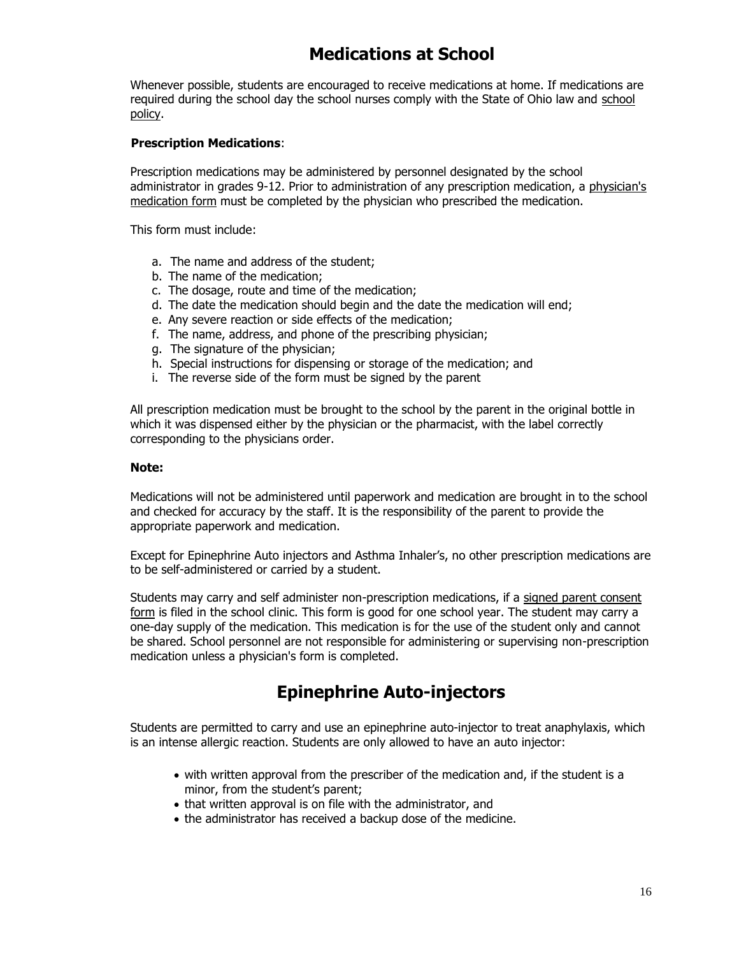### **Medications at School**

Whenever possible, students are encouraged to receive medications at home. If medications are required during the [school](http://www.olentangy.k12.oh.us/district/board/policy/handbooks/high/24atod.html#meds) day the school nurses comply with the State of Ohio law and school [policy.](http://www.olentangy.k12.oh.us/district/board/policy/handbooks/high/24atod.html#meds)

#### **Prescription Medications**:

Prescription medications may be administered by personnel designated by the school administrator in grades 9-12. Prior to administration of any prescription medication, a physician's [medication form](http://www.olentangy.k12.oh.us/pdf/docmedform.pdf) must be completed by the physician who prescribed the medication.

This form must include:

- a. The name and address of the student;
- b. The name of the medication;
- c. The dosage, route and time of the medication;
- d. The date the medication should begin and the date the medication will end;
- e. Any severe reaction or side effects of the medication;
- f. The name, address, and phone of the prescribing physician;
- g. The signature of the physician;
- h. Special instructions for dispensing or storage of the medication; and
- i. The reverse side of the form must be signed by the parent

All prescription medication must be brought to the school by the parent in the original bottle in which it was dispensed either by the physician or the pharmacist, with the label correctly corresponding to the physicians order.

#### **Note:**

Medications will not be administered until paperwork and medication are brought in to the school and checked for accuracy by the staff. It is the responsibility of the parent to provide the appropriate paperwork and medication.

Except for Epinephrine Auto injectors and Asthma Inhaler's, no other prescription medications are to be self-administered or carried by a student.

Students may carry and self administer non-prescription medications, if a signed parent consent [form](http://www.olentangy.k12.oh.us/pdf/non-rx-medform.pdf) is filed in the school clinic. This form is good for one school year. The student may carry a one-day supply of the medication. This medication is for the use of the student only and cannot be shared. School personnel are not responsible for administering or supervising non-prescription medication unless a physician's form is completed.

#### **Epinephrine Auto-injectors**

Students are permitted to carry and use an epinephrine auto-injector to treat anaphylaxis, which is an intense allergic reaction. Students are only allowed to have an auto injector:

- with written approval from the prescriber of the medication and, if the student is a minor, from the student's parent;
- that written approval is on file with the administrator, and
- the administrator has received a backup dose of the medicine.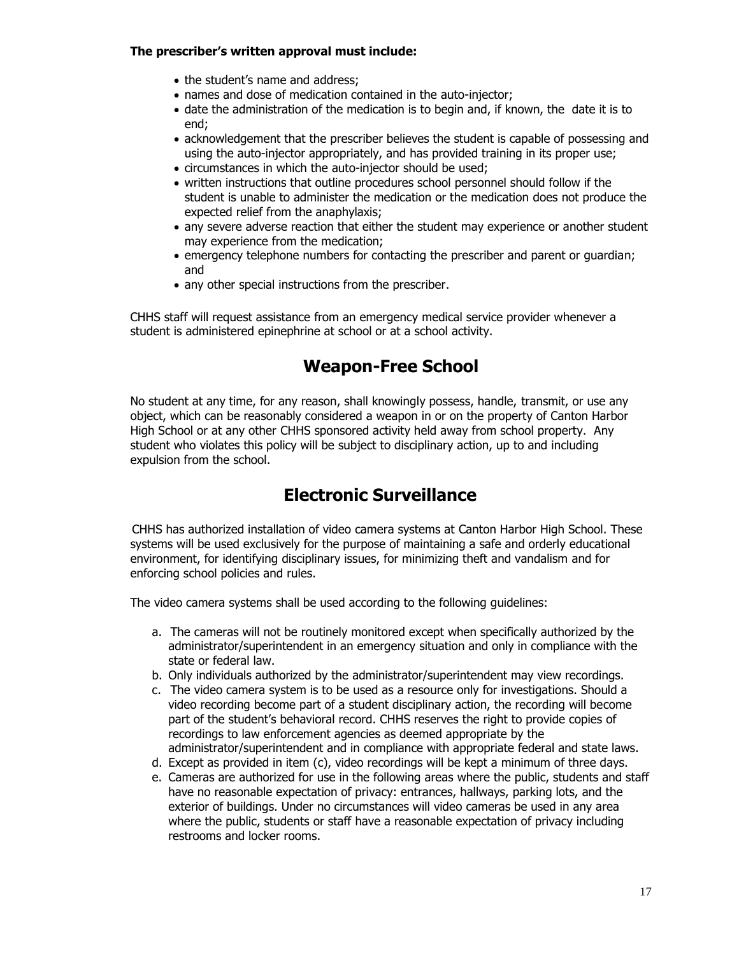#### **The prescriber's written approval must include:**

- the student's name and address;
- names and dose of medication contained in the auto-injector;
- date the administration of the medication is to begin and, if known, the date it is to end;
- acknowledgement that the prescriber believes the student is capable of possessing and using the auto-injector appropriately, and has provided training in its proper use;
- circumstances in which the auto-injector should be used;
- written instructions that outline procedures school personnel should follow if the student is unable to administer the medication or the medication does not produce the expected relief from the anaphylaxis;
- any severe adverse reaction that either the student may experience or another student may experience from the medication;
- emergency telephone numbers for contacting the prescriber and parent or guardian; and
- any other special instructions from the prescriber.

CHHS staff will request assistance from an emergency medical service provider whenever a student is administered epinephrine at school or at a school activity.

### **Weapon-Free School**

No student at any time, for any reason, shall knowingly possess, handle, transmit, or use any object, which can be reasonably considered a weapon in or on the property of Canton Harbor High School or at any other CHHS sponsored activity held away from school property. Any student who violates this policy will be subject to disciplinary action, up to and including expulsion from the school.

### **Electronic Surveillance**

 CHHS has authorized installation of video camera systems at Canton Harbor High School. These systems will be used exclusively for the purpose of maintaining a safe and orderly educational environment, for identifying disciplinary issues, for minimizing theft and vandalism and for enforcing school policies and rules.

The video camera systems shall be used according to the following guidelines:

- a. The cameras will not be routinely monitored except when specifically authorized by the administrator/superintendent in an emergency situation and only in compliance with the state or federal law.
- b. Only individuals authorized by the administrator/superintendent may view recordings.
- c. The video camera system is to be used as a resource only for investigations. Should a video recording become part of a student disciplinary action, the recording will become part of the student's behavioral record. CHHS reserves the right to provide copies of recordings to law enforcement agencies as deemed appropriate by the administrator/superintendent and in compliance with appropriate federal and state laws.
- d. Except as provided in item (c), video recordings will be kept a minimum of three days.
- e. Cameras are authorized for use in the following areas where the public, students and staff have no reasonable expectation of privacy: entrances, hallways, parking lots, and the exterior of buildings. Under no circumstances will video cameras be used in any area where the public, students or staff have a reasonable expectation of privacy including restrooms and locker rooms.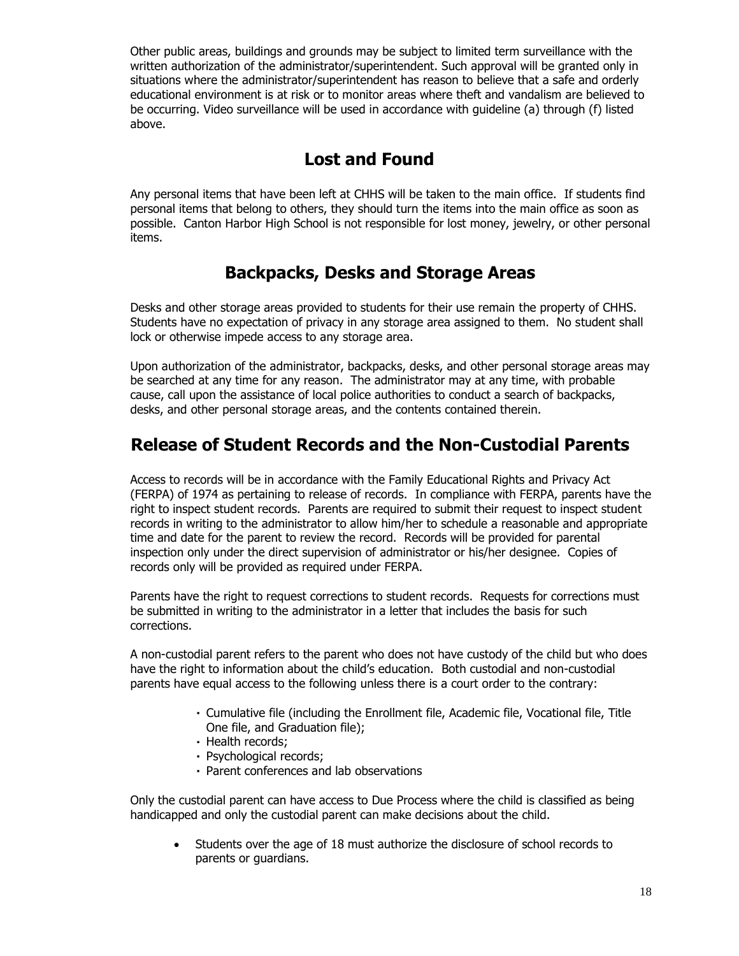Other public areas, buildings and grounds may be subject to limited term surveillance with the written authorization of the administrator/superintendent. Such approval will be granted only in situations where the administrator/superintendent has reason to believe that a safe and orderly educational environment is at risk or to monitor areas where theft and vandalism are believed to be occurring. Video surveillance will be used in accordance with guideline (a) through (f) listed above.

### **Lost and Found**

Any personal items that have been left at CHHS will be taken to the main office. If students find personal items that belong to others, they should turn the items into the main office as soon as possible. Canton Harbor High School is not responsible for lost money, jewelry, or other personal items.

### **Backpacks, Desks and Storage Areas**

Desks and other storage areas provided to students for their use remain the property of CHHS. Students have no expectation of privacy in any storage area assigned to them. No student shall lock or otherwise impede access to any storage area.

Upon authorization of the administrator, backpacks, desks, and other personal storage areas may be searched at any time for any reason. The administrator may at any time, with probable cause, call upon the assistance of local police authorities to conduct a search of backpacks, desks, and other personal storage areas, and the contents contained therein.

#### **Release of Student Records and the Non-Custodial Parents**

Access to records will be in accordance with the Family Educational Rights and Privacy Act (FERPA) of 1974 as pertaining to release of records. In compliance with FERPA, parents have the right to inspect student records. Parents are required to submit their request to inspect student records in writing to the administrator to allow him/her to schedule a reasonable and appropriate time and date for the parent to review the record. Records will be provided for parental inspection only under the direct supervision of administrator or his/her designee. Copies of records only will be provided as required under FERPA.

Parents have the right to request corrections to student records. Requests for corrections must be submitted in writing to the administrator in a letter that includes the basis for such corrections.

A non-custodial parent refers to the parent who does not have custody of the child but who does have the right to information about the child's education. Both custodial and non-custodial parents have equal access to the following unless there is a court order to the contrary:

- Cumulative file (including the Enrollment file, Academic file, Vocational file, Title One file, and Graduation file);
- Health records;
- Psychological records;
- Parent conferences and lab observations

Only the custodial parent can have access to Due Process where the child is classified as being handicapped and only the custodial parent can make decisions about the child.

 Students over the age of 18 must authorize the disclosure of school records to parents or guardians.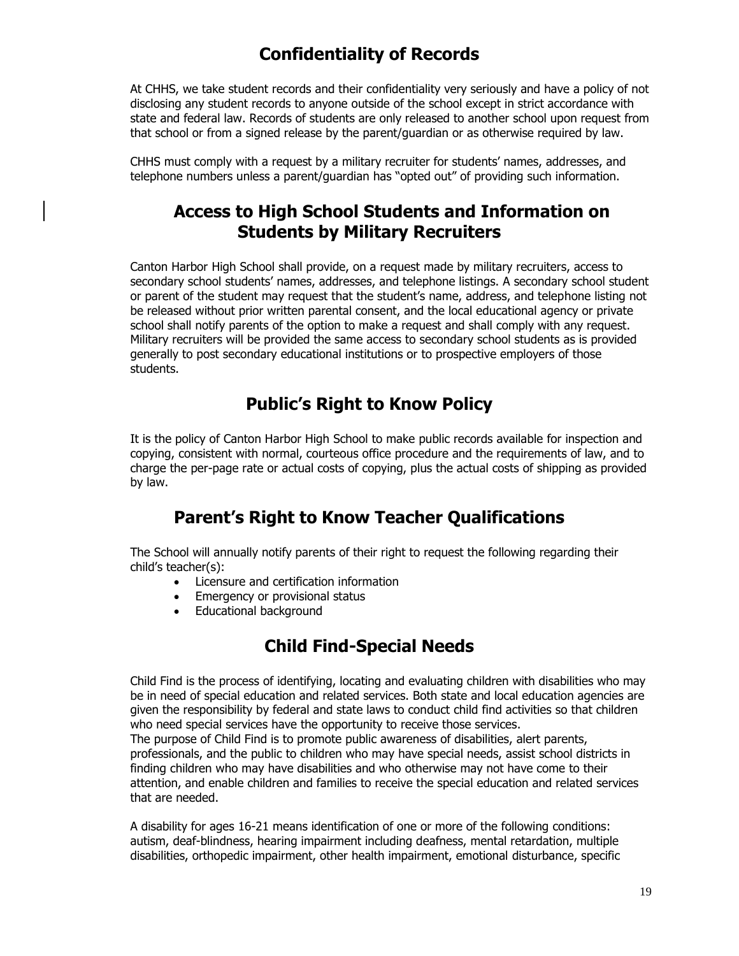### **Confidentiality of Records**

At CHHS, we take student records and their confidentiality very seriously and have a policy of not disclosing any student records to anyone outside of the school except in strict accordance with state and federal law. Records of students are only released to another school upon request from that school or from a signed release by the parent/guardian or as otherwise required by law.

CHHS must comply with a request by a military recruiter for students' names, addresses, and telephone numbers unless a parent/guardian has "opted out" of providing such information.

#### **Access to High School Students and Information on Students by Military Recruiters**

Canton Harbor High School shall provide, on a request made by military recruiters, access to secondary school students' names, addresses, and telephone listings. A secondary school student or parent of the student may request that the student's name, address, and telephone listing not be released without prior written parental consent, and the local educational agency or private school shall notify parents of the option to make a request and shall comply with any request. Military recruiters will be provided the same access to secondary school students as is provided generally to post secondary educational institutions or to prospective employers of those students.

#### **Public's Right to Know Policy**

It is the policy of Canton Harbor High School to make public records available for inspection and copying, consistent with normal, courteous office procedure and the requirements of law, and to charge the per-page rate or actual costs of copying, plus the actual costs of shipping as provided by law.

#### **Parent's Right to Know Teacher Qualifications**

The School will annually notify parents of their right to request the following regarding their child's teacher(s):

- Licensure and certification information
- Emergency or provisional status
- Educational background

### **Child Find-Special Needs**

Child Find is the process of identifying, locating and evaluating children with disabilities who may be in need of special education and related services. Both state and local education agencies are given the responsibility by federal and state laws to conduct child find activities so that children who need special services have the opportunity to receive those services. The purpose of Child Find is to promote public awareness of disabilities, alert parents,

professionals, and the public to children who may have special needs, assist school districts in finding children who may have disabilities and who otherwise may not have come to their attention, and enable children and families to receive the special education and related services that are needed.

A disability for ages 16-21 means identification of one or more of the following conditions: autism, deaf-blindness, hearing impairment including deafness, mental retardation, multiple disabilities, orthopedic impairment, other health impairment, emotional disturbance, specific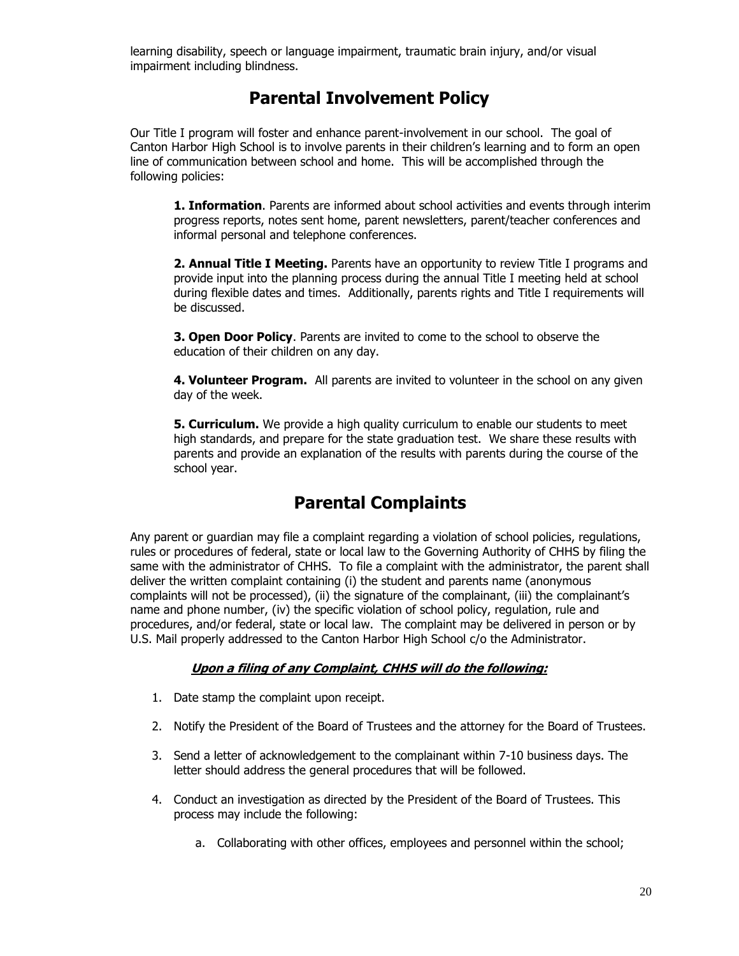learning disability, speech or language impairment, traumatic brain injury, and/or visual impairment including blindness.

#### **Parental Involvement Policy**

Our Title I program will foster and enhance parent-involvement in our school. The goal of Canton Harbor High School is to involve parents in their children's learning and to form an open line of communication between school and home. This will be accomplished through the following policies:

**1. Information**. Parents are informed about school activities and events through interim progress reports, notes sent home, parent newsletters, parent/teacher conferences and informal personal and telephone conferences.

**2. Annual Title I Meeting.** Parents have an opportunity to review Title I programs and provide input into the planning process during the annual Title I meeting held at school during flexible dates and times. Additionally, parents rights and Title I requirements will be discussed.

**3. Open Door Policy**. Parents are invited to come to the school to observe the education of their children on any day.

**4. Volunteer Program.** All parents are invited to volunteer in the school on any given day of the week.

**5. Curriculum.** We provide a high quality curriculum to enable our students to meet high standards, and prepare for the state graduation test. We share these results with parents and provide an explanation of the results with parents during the course of the school year.

### **Parental Complaints**

Any parent or guardian may file a complaint regarding a violation of school policies, regulations, rules or procedures of federal, state or local law to the Governing Authority of CHHS by filing the same with the administrator of CHHS. To file a complaint with the administrator, the parent shall deliver the written complaint containing (i) the student and parents name (anonymous complaints will not be processed), (ii) the signature of the complainant, (iii) the complainant's name and phone number, (iv) the specific violation of school policy, regulation, rule and procedures, and/or federal, state or local law. The complaint may be delivered in person or by U.S. Mail properly addressed to the Canton Harbor High School c/o the Administrator.

#### **Upon a filing of any Complaint, CHHS will do the following:**

- 1. Date stamp the complaint upon receipt.
- 2. Notify the President of the Board of Trustees and the attorney for the Board of Trustees.
- 3. Send a letter of acknowledgement to the complainant within 7-10 business days. The letter should address the general procedures that will be followed.
- 4. Conduct an investigation as directed by the President of the Board of Trustees. This process may include the following:
	- a. Collaborating with other offices, employees and personnel within the school;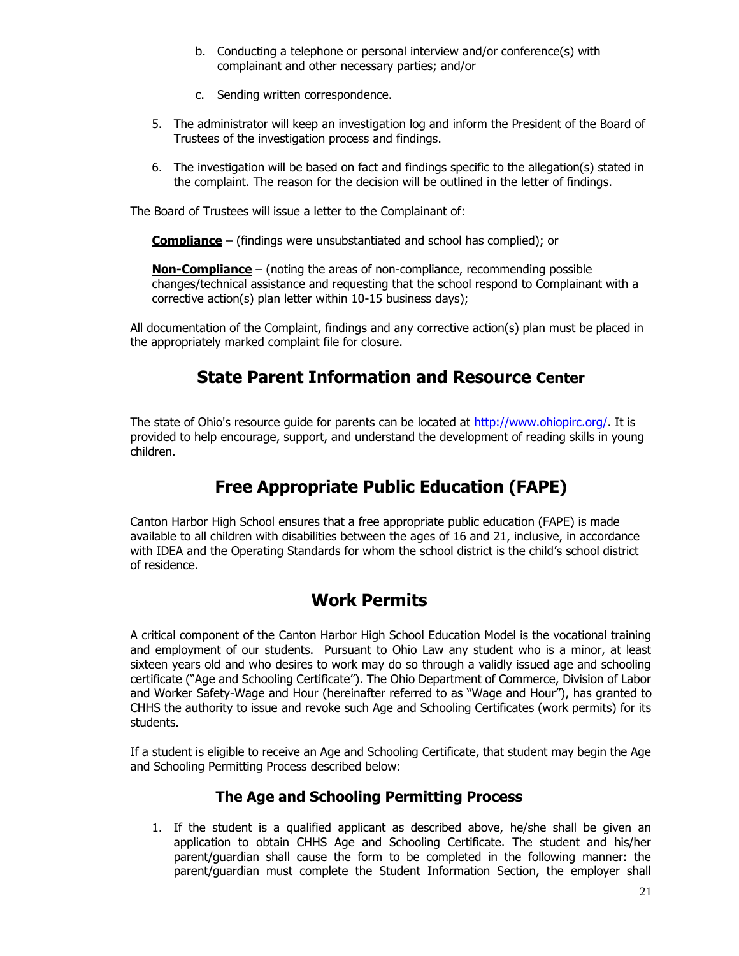- b. Conducting a telephone or personal interview and/or conference(s) with complainant and other necessary parties; and/or
- c. Sending written correspondence.
- 5. The administrator will keep an investigation log and inform the President of the Board of Trustees of the investigation process and findings.
- 6. The investigation will be based on fact and findings specific to the allegation(s) stated in the complaint. The reason for the decision will be outlined in the letter of findings.

The Board of Trustees will issue a letter to the Complainant of:

**Compliance** – (findings were unsubstantiated and school has complied); or

**Non-Compliance** – (noting the areas of non-compliance, recommending possible changes/technical assistance and requesting that the school respond to Complainant with a corrective action(s) plan letter within 10-15 business days);

All documentation of the Complaint, findings and any corrective action(s) plan must be placed in the appropriately marked complaint file for closure.

#### **State Parent Information and Resource Center**

The state of Ohio's resource guide for parents can be located at [http://www.ohiopirc.org/.](http://www.ohiopirc.org/) It is provided to help encourage, support, and understand the development of reading skills in young children.

### **Free Appropriate Public Education (FAPE)**

Canton Harbor High School ensures that a free appropriate public education (FAPE) is made available to all children with disabilities between the ages of 16 and 21, inclusive, in accordance with IDEA and the Operating Standards for whom the school district is the child's school district of residence.

#### **Work Permits**

A critical component of the Canton Harbor High School Education Model is the vocational training and employment of our students. Pursuant to Ohio Law any student who is a minor, at least sixteen years old and who desires to work may do so through a validly issued age and schooling certificate ("Age and Schooling Certificate"). The Ohio Department of Commerce, Division of Labor and Worker Safety-Wage and Hour (hereinafter referred to as "Wage and Hour"), has granted to CHHS the authority to issue and revoke such Age and Schooling Certificates (work permits) for its students.

If a student is eligible to receive an Age and Schooling Certificate, that student may begin the Age and Schooling Permitting Process described below:

#### **The Age and Schooling Permitting Process**

1. If the student is a qualified applicant as described above, he/she shall be given an application to obtain CHHS Age and Schooling Certificate. The student and his/her parent/guardian shall cause the form to be completed in the following manner: the parent/guardian must complete the Student Information Section, the employer shall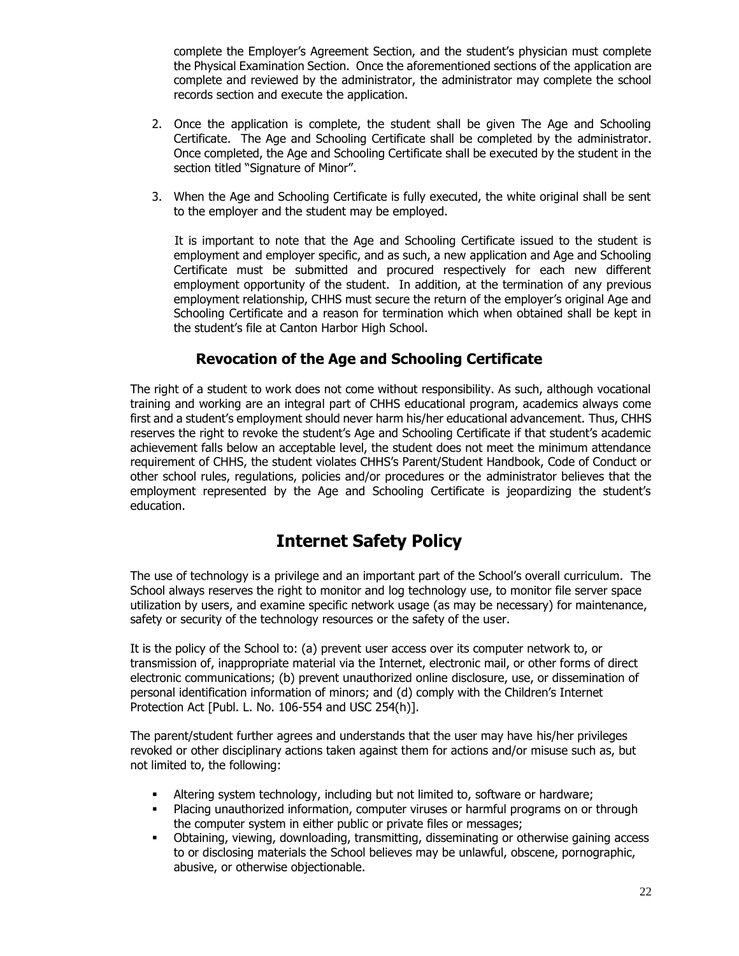complete the Employer's Agreement Section, and the student's physician must complete the Physical Examination Section. Once the aforementioned sections of the application are complete and reviewed by the administrator, the administrator may complete the school records section and execute the application.

- 2. Once the application is complete, the student shall be given The Age and Schooling Certificate. The Age and Schooling Certificate shall be completed by the administrator. Once completed, the Age and Schooling Certificate shall be executed by the student in the section titled "Signature of Minor".
- 3. When the Age and Schooling Certificate is fully executed, the white original shall be sent to the employer and the student may be employed.

 It is important to note that the Age and Schooling Certificate issued to the student is employment and employer specific, and as such, a new application and Age and Schooling Certificate must be submitted and procured respectively for each new different employment opportunity of the student. In addition, at the termination of any previous employment relationship, CHHS must secure the return of the employer's original Age and Schooling Certificate and a reason for termination which when obtained shall be kept in the student's file at Canton Harbor High School.

#### **Revocation of the Age and Schooling Certificate**

The right of a student to work does not come without responsibility. As such, although vocational training and working are an integral part of CHHS educational program, academics always come first and a student's employment should never harm his/her educational advancement. Thus, CHHS reserves the right to revoke the student's Age and Schooling Certificate if that student's academic achievement falls below an acceptable level, the student does not meet the minimum attendance requirement of CHHS, the student violates CHHS's Parent/Student Handbook, Code of Conduct or other school rules, regulations, policies and/or procedures or the administrator believes that the employment represented by the Age and Schooling Certificate is jeopardizing the student's education.

#### **Internet Safety Policy**

The use of technology is a privilege and an important part of the School's overall curriculum. The School always reserves the right to monitor and log technology use, to monitor file server space utilization by users, and examine specific network usage (as may be necessary) for maintenance, safety or security of the technology resources or the safety of the user.

It is the policy of the School to: (a) prevent user access over its computer network to, or transmission of, inappropriate material via the Internet, electronic mail, or other forms of direct electronic communications; (b) prevent unauthorized online disclosure, use, or dissemination of personal identification information of minors; and (d) comply with the Children's Internet Protection Act [Publ. L. No. 106-554 and USC 254(h)].

The parent/student further agrees and understands that the user may have his/her privileges revoked or other disciplinary actions taken against them for actions and/or misuse such as, but not limited to, the following:

- Altering system technology, including but not limited to, software or hardware;
- Placing unauthorized information, computer viruses or harmful programs on or through the computer system in either public or private files or messages;
- Obtaining, viewing, downloading, transmitting, disseminating or otherwise gaining access to or disclosing materials the School believes may be unlawful, obscene, pornographic, abusive, or otherwise objectionable.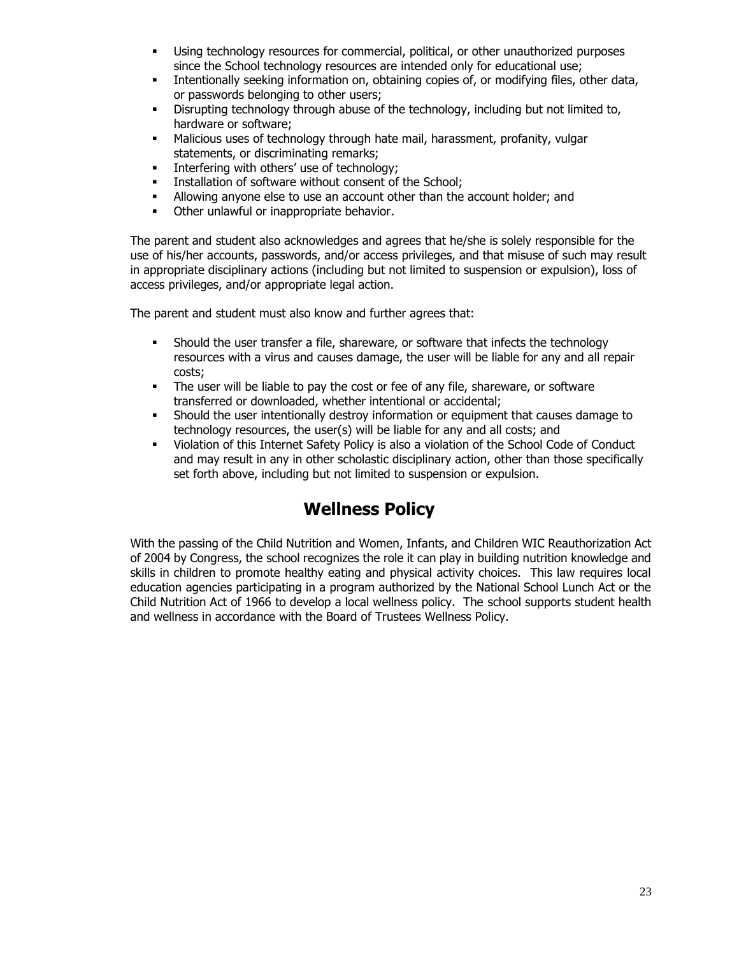- Using technology resources for commercial, political, or other unauthorized purposes since the School technology resources are intended only for educational use;
- Intentionally seeking information on, obtaining copies of, or modifying files, other data, or passwords belonging to other users;
- Disrupting technology through abuse of the technology, including but not limited to, hardware or software;
- Malicious uses of technology through hate mail, harassment, profanity, vulgar statements, or discriminating remarks;
- **Interfering with others' use of technology;**
- Installation of software without consent of the School;
- Allowing anyone else to use an account other than the account holder; and
- **•** Other unlawful or inappropriate behavior.

The parent and student also acknowledges and agrees that he/she is solely responsible for the use of his/her accounts, passwords, and/or access privileges, and that misuse of such may result in appropriate disciplinary actions (including but not limited to suspension or expulsion), loss of access privileges, and/or appropriate legal action.

The parent and student must also know and further agrees that:

- Should the user transfer a file, shareware, or software that infects the technology resources with a virus and causes damage, the user will be liable for any and all repair costs;
- The user will be liable to pay the cost or fee of any file, shareware, or software transferred or downloaded, whether intentional or accidental;
- Should the user intentionally destroy information or equipment that causes damage to technology resources, the user(s) will be liable for any and all costs; and
- Violation of this Internet Safety Policy is also a violation of the School Code of Conduct and may result in any in other scholastic disciplinary action, other than those specifically set forth above, including but not limited to suspension or expulsion.

### **Wellness Policy**

With the passing of the Child Nutrition and Women, Infants, and Children WIC Reauthorization Act of 2004 by Congress, the school recognizes the role it can play in building nutrition knowledge and skills in children to promote healthy eating and physical activity choices. This law requires local education agencies participating in a program authorized by the National School Lunch Act or the Child Nutrition Act of 1966 to develop a local wellness policy. The school supports student health and wellness in accordance with the Board of Trustees Wellness Policy.